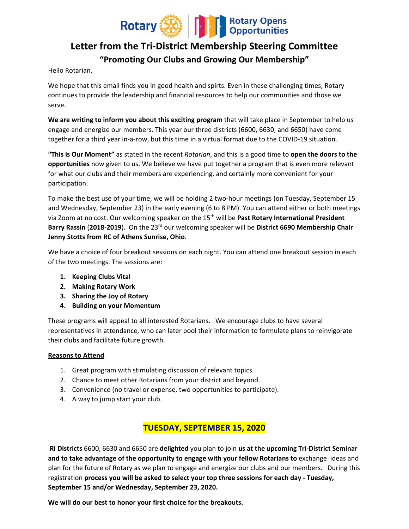

# **Letter from the Tri‐District Membership Steering Committee "Promoting Our Clubs and Growing Our Membership"**

Hello Rotarian,

We hope that this email finds you in good health and spirts. Even in these challenging times, Rotary continues to provide the leadership and financial resources to help our communities and those we serve.

**We are writing to inform you about this exciting program** that will take place in September to help us engage and energize our members. This year our three districts (6600, 6630, and 6650) have come together for a third year in‐a‐row, but this time in a virtual format due to the COVID‐19 situation.

**"This is Our Moment"** as stated in the recent *Rotarian*, and this is a good time to **open the doors to the opportunities** now given to us. We believe we have put together a program that is even more relevant for what our clubs and their members are experiencing, and certainly more convenient for your participation.

To make the best use of your time, we will be holding 2 two-hour meetings (on Tuesday, September 15 and Wednesday, September 23) in the early evening (6 to 8 PM). You can attend either or both meetings via Zoom at no cost. Our welcoming speaker on the 15<sup>th</sup> will be Past Rotary International President **Barry Rassin** (**2018‐2019**). On the 23rd our welcoming speaker will be **District 6690 Membership Chair Jenny Stotts from RC of Athens Sunrise, Ohio**.

We have a choice of four breakout sessions on each night. You can attend one breakout session in each of the two meetings. The sessions are:

- **1. Keeping Clubs Vital**
- **2. Making Rotary Work**
- **3. Sharing the Joy of Rotary**
- **4. Building on your Momentum**

These programs will appeal to all interested Rotarians. We encourage clubs to have several representatives in attendance, who can later pool their information to formulate plans to reinvigorate their clubs and facilitate future growth.

#### **Reasons to Attend**

- 1. Great program with stimulating discussion of relevant topics.
- 2. Chance to meet other Rotarians from your district and beyond.
- 3. Convenience (no travel or expense, two opportunities to participate).
- 4. A way to jump start your club.

# **TUESDAY, SEPTEMBER 15, 2020**

**RI Districts** 6600, 6630 and 6650 are **delighted** you plan to join **us at the upcoming Tri‐District Seminar and to take advantage of the opportunity to engage with your fellow Rotarians to** exchange ideas and plan for the future of Rotary as we plan to engage and energize our clubs and our members. During this registration **process you will be asked to select your top three sessions for each day ‐ Tuesday, September 15 and/or Wednesday, September 23, 2020.**

**We will do our best to honor your first choice for the breakouts.**